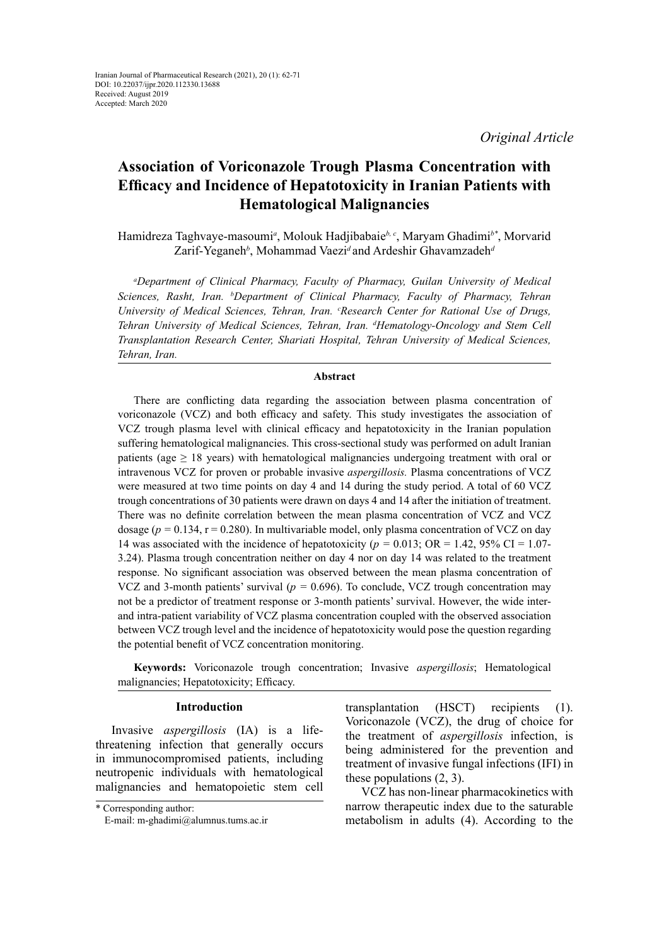# **Association of Voriconazole Trough Plasma Concentration with Efficacy and Incidence of Hepatotoxicity in Iranian Patients with Hematological Malignancies**

Hamidreza Taghvaye-masoumi*<sup>a</sup>* , Molouk Hadjibabaie*b, c*, Maryam Ghadimi*b\**, Morvarid Zarif-Yeganeh*<sup>b</sup>* , Mohammad Vaezi*<sup>d</sup>*and Ardeshir Ghavamzadeh*<sup>d</sup>*

*a Department of Clinical Pharmacy, Faculty of Pharmacy, Guilan University of Medical Sciences, Rasht, Iran. b Department of Clinical Pharmacy, Faculty of Pharmacy, Tehran*  University of Medical Sciences, Tehran, Iran. <sup>c</sup>Research Center for Rational Use of Drugs, *Tehran University of Medical Sciences, Tehran, Iran. d Hematology-Oncology and Stem Cell Transplantation Research Center, Shariati Hospital, Tehran University of Medical Sciences, Tehran, Iran.* 

### **Abstract**

There are conflicting data regarding the association between plasma concentration of voriconazole (VCZ) and both efficacy and safety. This study investigates the association of VCZ trough plasma level with clinical efficacy and hepatotoxicity in the Iranian population suffering hematological malignancies. This cross-sectional study was performed on adult Iranian patients (age  $\geq$  18 years) with hematological malignancies undergoing treatment with oral or intravenous VCZ for proven or probable invasive *aspergillosis.* Plasma concentrations of VCZ were measured at two time points on day 4 and 14 during the study period. A total of 60 VCZ trough concentrations of 30 patients were drawn on days 4 and 14 after the initiation of treatment. There was no definite correlation between the mean plasma concentration of VCZ and VCZ dosage ( $p = 0.134$ ,  $r = 0.280$ ). In multivariable model, only plasma concentration of VCZ on day 14 was associated with the incidence of hepatotoxicity (*p =* 0.013; OR = 1.42, 95% CI = 1.07- 3.24). Plasma trough concentration neither on day 4 nor on day 14 was related to the treatment response. No significant association was observed between the mean plasma concentration of VCZ and 3-month patients' survival ( $p = 0.696$ ). To conclude, VCZ trough concentration may not be a predictor of treatment response or 3-month patients' survival. However, the wide interand intra-patient variability of VCZ plasma concentration coupled with the observed association between VCZ trough level and the incidence of hepatotoxicity would pose the question regarding the potential benefit of VCZ concentration monitoring.

**Keywords:** Voriconazole trough concentration; Invasive *aspergillosis*; Hematological malignancies; Hepatotoxicity; Efficacy.

## **Introduction**

Invasive *aspergillosis* (IA) is a lifethreatening infection that generally occurs in immunocompromised patients, including neutropenic individuals with hematological malignancies and hematopoietic stem cell transplantation (HSCT) recipients (1). Voriconazole (VCZ), the drug of choice for the treatment of *aspergillosis* infection, is being administered for the prevention and treatment of invasive fungal infections (IFI) in these populations (2, 3).

VCZ has non-linear pharmacokinetics with narrow therapeutic index due to the saturable metabolism in adults (4). According to the

<sup>\*</sup> Corresponding author:

E-mail: m-ghadimi@alumnus.tums.ac.ir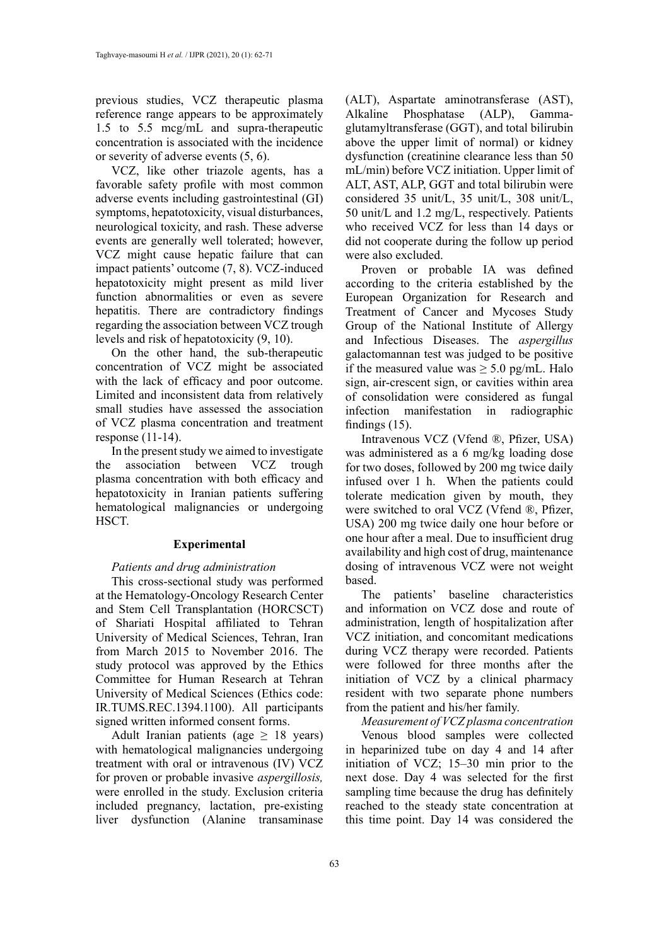previous studies, VCZ therapeutic plasma reference range appears to be approximately 1.5 to 5.5 mcg/mL and supra-therapeutic concentration is associated with the incidence or severity of adverse events (5, 6).

VCZ, like other triazole agents, has a favorable safety profile with most common adverse events including gastrointestinal (GI) symptoms, hepatotoxicity, visual disturbances, neurological toxicity, and rash. These adverse events are generally well tolerated; however, VCZ might cause hepatic failure that can impact patients' outcome (7, 8). VCZ-induced hepatotoxicity might present as mild liver function abnormalities or even as severe hepatitis. There are contradictory findings regarding the association between VCZ trough levels and risk of hepatotoxicity (9, 10).

On the other hand, the sub-therapeutic concentration of VCZ might be associated with the lack of efficacy and poor outcome. Limited and inconsistent data from relatively small studies have assessed the association of VCZ plasma concentration and treatment response (11-14).

In the present study we aimed to investigate the association between VCZ trough plasma concentration with both efficacy and hepatotoxicity in Iranian patients suffering hematological malignancies or undergoing HSCT.

#### **Experimental**

#### *Patients and drug administration*

This cross-sectional study was performed at the Hematology-Oncology Research Center and Stem Cell Transplantation (HORCSCT) of Shariati Hospital affiliated to Tehran University of Medical Sciences, Tehran, Iran from March 2015 to November 2016. The study protocol was approved by the Ethics Committee for Human Research at Tehran University of Medical Sciences (Ethics code: IR.TUMS.REC.1394.1100). All participants signed written informed consent forms.

Adult Iranian patients (age  $\geq$  18 years) with hematological malignancies undergoing treatment with oral or intravenous (IV) VCZ for proven or probable invasive *aspergillosis,* were enrolled in the study. Exclusion criteria included pregnancy, lactation, pre-existing liver dysfunction (Alanine transaminase

(ALT), Aspartate aminotransferase (AST), Alkaline Phosphatase (ALP), Gammaglutamyltransferase (GGT), and total bilirubin above the upper limit of normal) or kidney dysfunction (creatinine clearance less than 50 mL/min) before VCZ initiation. Upper limit of ALT, AST, ALP, GGT and total bilirubin were considered 35 unit/L, 35 unit/L, 308 unit/L, 50 unit/L and 1.2 mg/L, respectively. Patients who received VCZ for less than 14 days or did not cooperate during the follow up period were also excluded.

Proven or probable IA was defined according to the criteria established by the European Organization for Research and Treatment of Cancer and Mycoses Study Group of the National Institute of Allergy and Infectious Diseases. The *aspergillus* galactomannan test was judged to be positive if the measured value was  $\geq 5.0$  pg/mL. Halo sign, air-crescent sign, or cavities within area of consolidation were considered as fungal infection manifestation in radiographic findings (15).

Intravenous VCZ (Vfend ®, Pfizer, USA) was administered as a 6 mg/kg loading dose for two doses, followed by 200 mg twice daily infused over 1 h. When the patients could tolerate medication given by mouth, they were switched to oral VCZ (Vfend ®, Pfizer, USA) 200 mg twice daily one hour before or one hour after a meal. Due to insufficient drug availability and high cost of drug, maintenance dosing of intravenous VCZ were not weight based.

The patients' baseline characteristics and information on VCZ dose and route of administration, length of hospitalization after VCZ initiation, and concomitant medications during VCZ therapy were recorded. Patients were followed for three months after the initiation of VCZ by a clinical pharmacy resident with two separate phone numbers from the patient and his/her family.

*Measurement of VCZ plasma concentration* Venous blood samples were collected in heparinized tube on day 4 and 14 after initiation of VCZ; 15–30 min prior to the next dose. Day 4 was selected for the first sampling time because the drug has definitely reached to the steady state concentration at this time point. Day 14 was considered the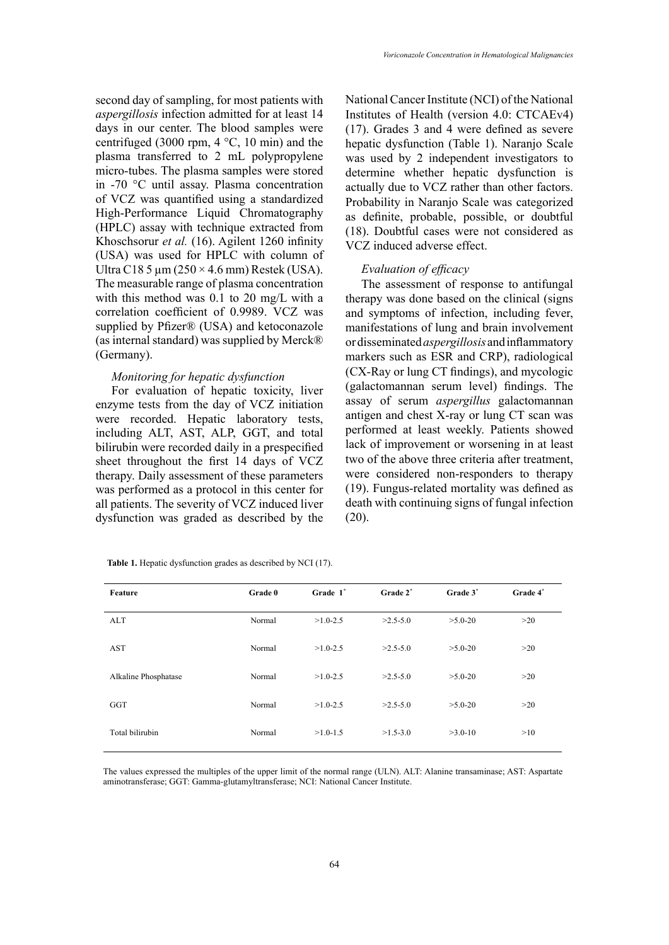second day of sampling, for most patients with *aspergillosis* infection admitted for at least 14 days in our center. The blood samples were centrifuged (3000 rpm,  $4 °C$ , 10 min) and the plasma transferred to 2 mL polypropylene micro-tubes. The plasma samples were stored in -70 °C until assay. Plasma concentration of VCZ was quantified using a standardized High-Performance Liquid Chromatography (HPLC) assay with technique extracted from Khoschsorur *et al.* (16). Agilent 1260 infinity (USA) was used for HPLC with column of Ultra C18 5  $\mu$ m (250 × 4.6 mm) Restek (USA). The measurable range of plasma concentration with this method was 0.1 to 20 mg/L with a correlation coefficient of 0.9989. VCZ was supplied by Pfizer® (USA) and ketoconazole (as internal standard) was supplied by Merck® (Germany).

## *Monitoring for hepatic dysfunction*

For evaluation of hepatic toxicity, liver enzyme tests from the day of VCZ initiation were recorded. Hepatic laboratory tests, including ALT, AST, ALP, GGT, and total bilirubin were recorded daily in a prespecified sheet throughout the first 14 days of VCZ therapy. Daily assessment of these parameters was performed as a protocol in this center for all patients. The severity of VCZ induced liver dysfunction was graded as described by the (20).

National Cancer Institute (NCI) of the National Institutes of Health (version 4.0: CTCAEv4) (17). Grades 3 and 4 were defined as severe hepatic dysfunction (Table 1). Naranjo Scale was used by 2 independent investigators to determine whether hepatic dysfunction is actually due to VCZ rather than other factors. Probability in Naranjo Scale was categorized as definite, probable, possible, or doubtful (18). Doubtful cases were not considered as VCZ induced adverse effect.

#### *Evaluation of efficacy*

The assessment of response to antifungal therapy was done based on the clinical (signs and symptoms of infection, including fever, manifestations of lung and brain involvement or disseminated *aspergillosis* and inflammatory markers such as ESR and CRP), radiological (CX-Ray or lung CT findings), and mycologic (galactomannan serum level) findings. The assay of serum *aspergillus* galactomannan antigen and chest X-ray or lung CT scan was performed at least weekly. Patients showed lack of improvement or worsening in at least two of the above three criteria after treatment, were considered non-responders to therapy (19). Fungus-related mortality was defined as death with continuing signs of fungal infection

| Feature              | Grade 0 | Grade 1 <sup>*</sup> | Grade 2*   | Grade 3 <sup>*</sup> | Grade 4* |
|----------------------|---------|----------------------|------------|----------------------|----------|
| <b>ALT</b>           | Normal  | $>1.0 - 2.5$         | $>2.5-5.0$ | $>5.0-20$            | >20      |
| <b>AST</b>           | Normal  | $>1.0 - 2.5$         | $>2.5-5.0$ | $>5.0-20$            | >20      |
| Alkaline Phosphatase | Normal  | $>1.0 - 2.5$         | $>2.5-5.0$ | $>5.0-20$            | >20      |
| GGT                  | Normal  | $>1.0 - 2.5$         | $>2.5-5.0$ | $>5.0-20$            | >20      |
| Total bilirubin      | Normal  | $>1.0-1.5$           | $>1.5-3.0$ | $>3.0-10$            | >10      |

**Table 1.** Hepatic dysfunction grades as described by NCI (17).

The values expressed the multiples of the upper limit of the normal range (ULN). ALT: Alanine transaminase; AST: Aspartate aminotransferase; GGT: Gamma-glutamyltransferase; NCI: National Cancer Institute.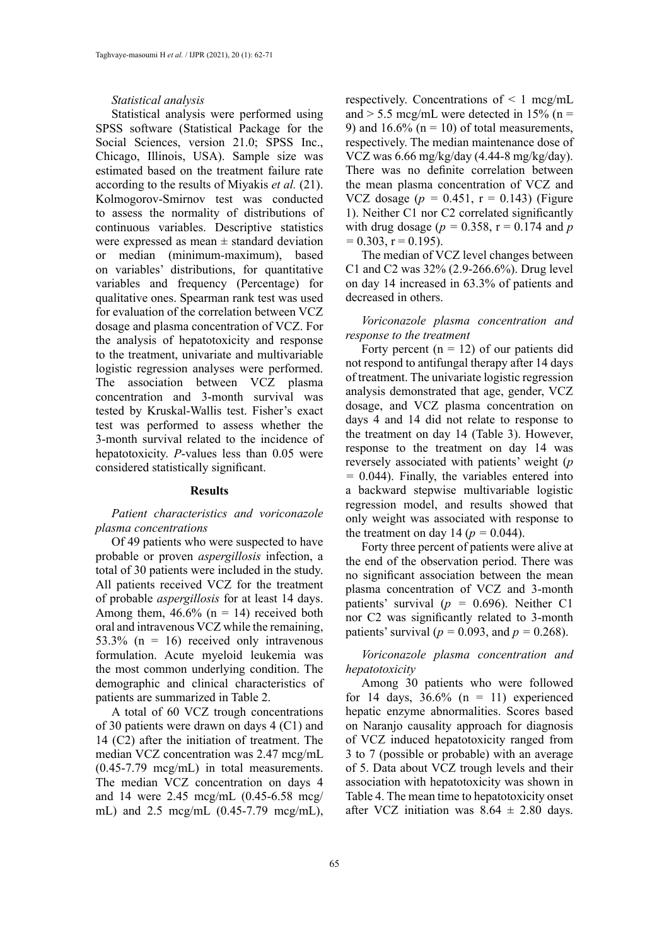#### *Statistical analysis*

Statistical analysis were performed using SPSS software (Statistical Package for the Social Sciences, version 21.0; SPSS Inc., Chicago, Illinois, USA). Sample size was estimated based on the treatment failure rate according to the results of Miyakis *et al.* (21). Kolmogorov-Smirnov test was conducted to assess the normality of distributions of continuous variables. Descriptive statistics were expressed as mean  $\pm$  standard deviation or median (minimum-maximum), based on variables' distributions, for quantitative variables and frequency (Percentage) for qualitative ones. Spearman rank test was used for evaluation of the correlation between VCZ dosage and plasma concentration of VCZ. For the analysis of hepatotoxicity and response to the treatment, univariate and multivariable logistic regression analyses were performed. The association between VCZ plasma concentration and 3-month survival was tested by Kruskal-Wallis test. Fisher's exact test was performed to assess whether the 3-month survival related to the incidence of hepatotoxicity. *P*-values less than 0.05 were considered statistically significant.

#### **Results**

## *Patient characteristics and voriconazole plasma concentrations*

Of 49 patients who were suspected to have probable or proven *aspergillosis* infection, a total of 30 patients were included in the study. All patients received VCZ for the treatment of probable *aspergillosis* for at least 14 days. Among them,  $46.6\%$  (n = 14) received both oral and intravenous VCZ while the remaining, 53.3% ( $n = 16$ ) received only intravenous formulation. Acute myeloid leukemia was the most common underlying condition. The demographic and clinical characteristics of patients are summarized in Table 2.

A total of 60 VCZ trough concentrations of 30 patients were drawn on days 4 (C1) and 14 (C2) after the initiation of treatment. The median VCZ concentration was 2.47 mcg/mL (0.45-7.79 mcg/mL) in total measurements. The median VCZ concentration on days 4 and 14 were 2.45 mcg/mL (0.45-6.58 mcg/ mL) and 2.5 mcg/mL (0.45-7.79 mcg/mL),

respectively. Concentrations of  $\leq 1$  mcg/mL and  $> 5.5$  mcg/mL were detected in 15% (n = 9) and 16.6% ( $n = 10$ ) of total measurements, respectively. The median maintenance dose of VCZ was 6.66 mg/kg/day (4.44-8 mg/kg/day). There was no definite correlation between the mean plasma concentration of VCZ and VCZ dosage  $(p = 0.451, r = 0.143)$  (Figure 1). Neither C1 nor C2 correlated significantly with drug dosage ( $p = 0.358$ ,  $r = 0.174$  and  $p$  $= 0.303$ ,  $r = 0.195$ ).

The median of VCZ level changes between C1 and C2 was 32% (2.9-266.6%). Drug level on day 14 increased in 63.3% of patients and decreased in others.

*Voriconazole plasma concentration and response to the treatment*

Forty percent  $(n = 12)$  of our patients did not respond to antifungal therapy after 14 days of treatment. The univariate logistic regression analysis demonstrated that age, gender, VCZ dosage, and VCZ plasma concentration on days 4 and 14 did not relate to response to the treatment on day 14 (Table 3). However, response to the treatment on day 14 was reversely associated with patients' weight (*p =* 0.044). Finally, the variables entered into a backward stepwise multivariable logistic regression model, and results showed that only weight was associated with response to the treatment on day 14 ( $p = 0.044$ ).

Forty three percent of patients were alive at the end of the observation period. There was no significant association between the mean plasma concentration of VCZ and 3-month patients' survival (*p =* 0.696). Neither C1 nor C2 was significantly related to 3-month patients' survival ( $p = 0.093$ , and  $p = 0.268$ ).

*Voriconazole plasma concentration and hepatotoxicity*

Among 30 patients who were followed for 14 days,  $36.6\%$  (n = 11) experienced hepatic enzyme abnormalities. Scores based on Naranjo causality approach for diagnosis of VCZ induced hepatotoxicity ranged from 3 to 7 (possible or probable) with an average of 5. Data about VCZ trough levels and their association with hepatotoxicity was shown in Table 4. The mean time to hepatotoxicity onset after VCZ initiation was  $8.64 \pm 2.80$  days.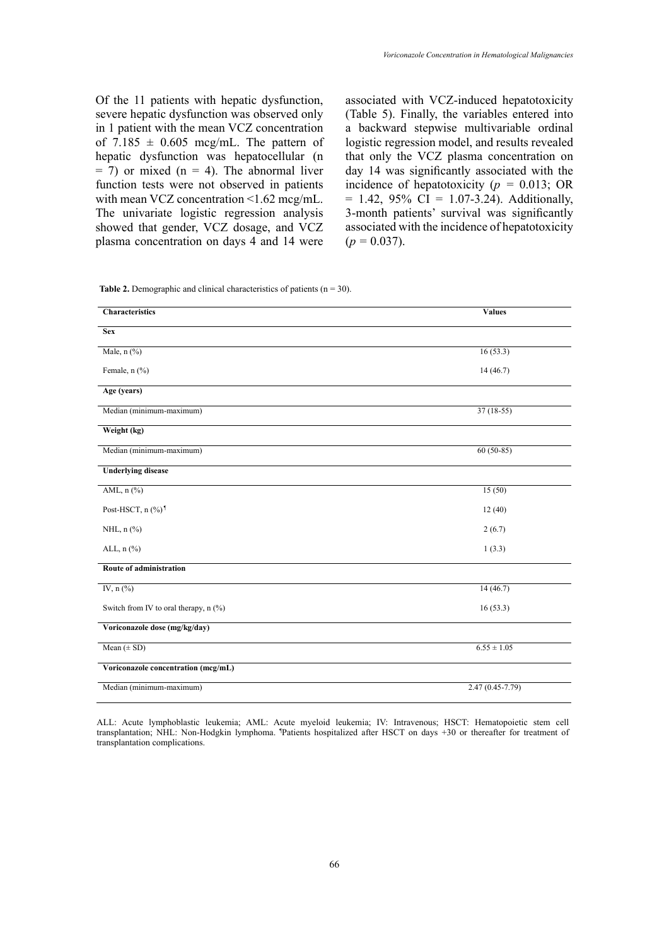Of the 11 patients with hepatic dysfunction, severe hepatic dysfunction was observed only in 1 patient with the mean VCZ concentration of 7.185  $\pm$  0.605 mcg/mL. The pattern of hepatic dysfunction was hepatocellular (n  $= 7$ ) or mixed (n  $= 4$ ). The abnormal liver function tests were not observed in patients with mean VCZ concentration <1.62 mcg/mL. The univariate logistic regression analysis showed that gender, VCZ dosage, and VCZ plasma concentration on days 4 and 14 were

associated with VCZ-induced hepatotoxicity (Table 5). Finally, the variables entered into a backward stepwise multivariable ordinal logistic regression model, and results revealed that only the VCZ plasma concentration on day 14 was significantly associated with the incidence of hepatotoxicity (*p =* 0.013; OR  $= 1.42, 95\% \text{ CI} = 1.07 - 3.24$ . Additionally, 3-month patients' survival was significantly associated with the incidence of hepatotoxicity  $(p = 0.037)$ .

**Table 2.** Demographic and clinical characteristics of patients (n = 30). **Table 2.** Demographic and clinical characteristics of patients (n = 30).

| <b>Characteristics</b>                | <b>Values</b>       |  |  |
|---------------------------------------|---------------------|--|--|
| <b>Sex</b>                            |                     |  |  |
| Male, n (%)                           | 16(53.3)            |  |  |
| Female, n (%)                         | 14(46.7)            |  |  |
| Age (years)                           |                     |  |  |
| Median (minimum-maximum)              | $37(18-55)$         |  |  |
| Weight (kg)                           |                     |  |  |
| Median (minimum-maximum)              | $60(50-85)$         |  |  |
| <b>Underlying disease</b>             |                     |  |  |
| AML, n (%)                            | 15(50)              |  |  |
| Post-HSCT, n (%) <sup>1</sup>         | 12(40)              |  |  |
| NHL, n (%)                            | 2(6.7)              |  |  |
| ALL, $n$ $(\%)$                       | 1(3.3)              |  |  |
| Route of administration               |                     |  |  |
| IV, $n$ $(\%)$                        | 14(46.7)            |  |  |
| Switch from IV to oral therapy, n (%) | 16(53.3)            |  |  |
| Voriconazole dose (mg/kg/day)         |                     |  |  |
| Mean $(\pm SD)$                       | $6.55 \pm 1.05$     |  |  |
| Voriconazole concentration (mcg/mL)   |                     |  |  |
| Median (minimum-maximum)              | $2.47(0.45 - 7.79)$ |  |  |

ALL: Acute lymphoblastic leukemia; AML: Acute myeloid leukemia; IV: Intravenous; HSCT: Hematopoietic stem cell transplantation; NHL: Non-Hodgkin lymphoma. Patients hospitalized after HSCT on days +30 or thereafter for treatment of transplantation complications.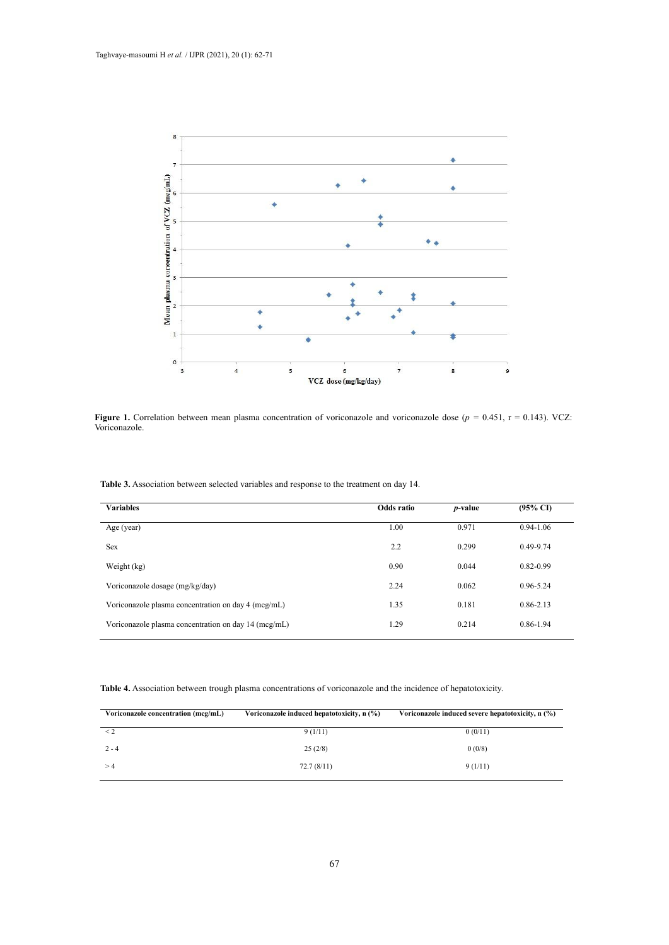

Figure 1. Correlation between mean plasma concentration of voriconazole and voriconazole dose ( $p = 0.451$ ,  $r = 0.143$ ). VCZ: Voriconazole.

**Table 3.** Association between selected variables and response to the treatment on day 14. **Table 3.** Association between selected variables and response to the treatment on day 14.

| <b>Variables</b>                                     | Odds ratio | <i>p</i> -value | $(95\% \text{ CI})$ |
|------------------------------------------------------|------------|-----------------|---------------------|
| Age (year)                                           | 1.00       | 0.971           | $0.94 - 1.06$       |
| <b>Sex</b>                                           | 2.2        | 0.299           | $0.49 - 9.74$       |
| Weight (kg)                                          | 0.90       | 0.044           | $0.82 - 0.99$       |
| Voriconazole dosage (mg/kg/day)                      | 2.24       | 0.062           | 0.96-5.24           |
| Voriconazole plasma concentration on day 4 (mcg/mL)  | 1.35       | 0.181           | $0.86 - 2.13$       |
| Voriconazole plasma concentration on day 14 (mcg/mL) | 1.29       | 0.214           | 0.86-1.94           |

Table 4. Association between trough plasma concentrations of voriconazole and the incidence of hepatotoxicity.

| Voriconazole concentration (mcg/mL) | Voriconazole induced hepatotoxicity, n (%) | Voriconazole induced severe hepatotoxicity, n (%) |  |  |
|-------------------------------------|--------------------------------------------|---------------------------------------------------|--|--|
| $\leq$ 2                            | 9(1/11)                                    | 0(0/11)                                           |  |  |
| $2 - 4$                             | 25(2/8)                                    | 0(0/8)                                            |  |  |
| >4                                  | 72.7(8/11)                                 | 9(1/11)                                           |  |  |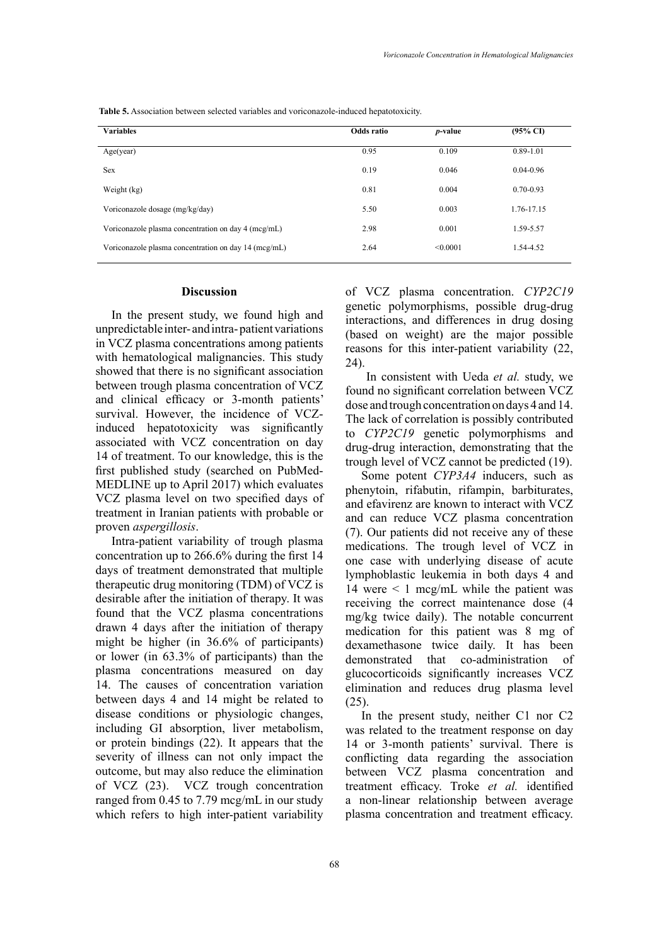Table 5. Association between selected variables and voriconazole-induced hepatotoxicity.

| <b>Variables</b>                                     | Odds ratio | <i>p</i> -value | $(95\% \text{ CI})$ |
|------------------------------------------------------|------------|-----------------|---------------------|
| Age(year)                                            | 0.95       | 0.109           | $0.89 - 1.01$       |
| <b>Sex</b>                                           | 0.19       | 0.046           | $0.04 - 0.96$       |
| Weight (kg)                                          | 0.81       | 0.004           | $0.70 - 0.93$       |
| Voriconazole dosage (mg/kg/day)                      | 5.50       | 0.003           | 1.76-17.15          |
| Voriconazole plasma concentration on day 4 (mcg/mL)  | 2.98       | 0.001           | 1.59-5.57           |
| Voriconazole plasma concentration on day 14 (mcg/mL) | 2.64       | < 0.0001        | 1.54-4.52           |

#### **Discussion**

In the present study, we found high and unpredictable inter- and intra- patient variations in VCZ plasma concentrations among patients with hematological malignancies. This study showed that there is no significant association between trough plasma concentration of VCZ and clinical efficacy or 3-month patients' survival. However, the incidence of VCZinduced hepatotoxicity was significantly associated with VCZ concentration on day 14 of treatment. To our knowledge, this is the first published study (searched on PubMed-MEDLINE up to April 2017) which evaluates VCZ plasma level on two specified days of treatment in Iranian patients with probable or proven *aspergillosis*.

Intra-patient variability of trough plasma concentration up to 266.6% during the first 14 days of treatment demonstrated that multiple therapeutic drug monitoring (TDM) of VCZ is desirable after the initiation of therapy. It was found that the VCZ plasma concentrations drawn 4 days after the initiation of therapy might be higher (in 36.6% of participants) or lower (in 63.3% of participants) than the plasma concentrations measured on day 14. The causes of concentration variation between days 4 and 14 might be related to disease conditions or physiologic changes, including GI absorption, liver metabolism, or protein bindings (22). It appears that the severity of illness can not only impact the outcome, but may also reduce the elimination of VCZ (23). VCZ trough concentration ranged from 0.45 to 7.79 mcg/mL in our study which refers to high inter-patient variability

of VCZ plasma concentration. *CYP2C19* genetic polymorphisms, possible drug-drug interactions, and differences in drug dosing (based on weight) are the major possible reasons for this inter-patient variability (22, 24).

 In consistent with Ueda *et al.* study, we found no significant correlation between VCZ dose and trough concentration on days 4 and 14. The lack of correlation is possibly contributed to *CYP2C19* genetic polymorphisms and drug-drug interaction, demonstrating that the trough level of VCZ cannot be predicted (19).

Some potent *CYP3A4* inducers, such as phenytoin, rifabutin, rifampin, barbiturates, and efavirenz are known to interact with VCZ and can reduce VCZ plasma concentration (7). Our patients did not receive any of these medications. The trough level of VCZ in one case with underlying disease of acute lymphoblastic leukemia in both days 4 and 14 were  $\leq$  1 mcg/mL while the patient was receiving the correct maintenance dose (4 mg/kg twice daily). The notable concurrent medication for this patient was 8 mg of dexamethasone twice daily. It has been demonstrated that co-administration of glucocorticoids significantly increases VCZ elimination and reduces drug plasma level  $(25)$ .

In the present study, neither C1 nor C2 was related to the treatment response on day 14 or 3-month patients' survival. There is conflicting data regarding the association between VCZ plasma concentration and treatment efficacy. Troke *et al.* identified a non-linear relationship between average plasma concentration and treatment efficacy.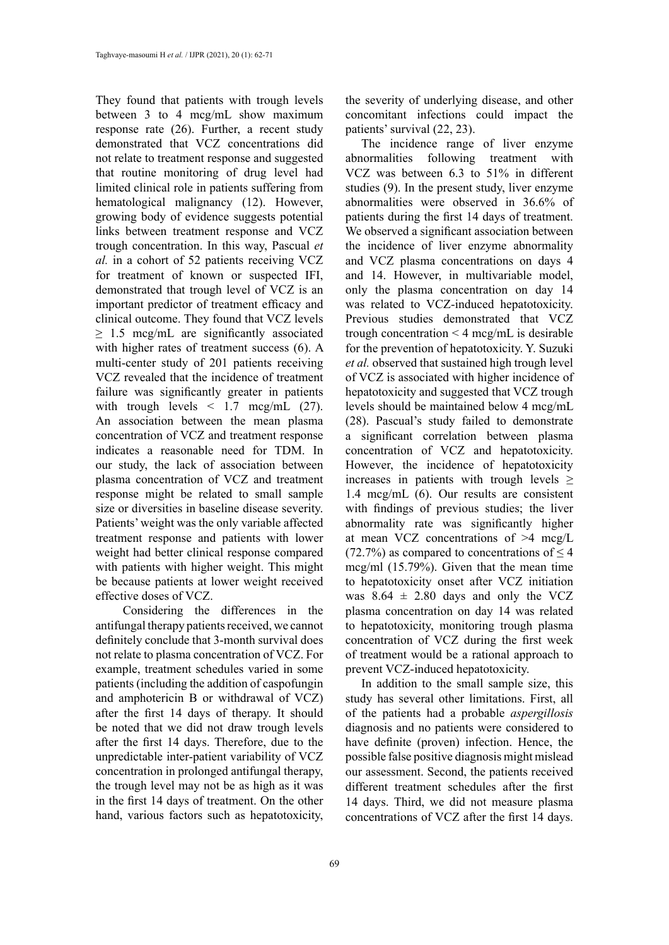They found that patients with trough levels between 3 to 4 mcg/mL show maximum response rate (26). Further, a recent study demonstrated that VCZ concentrations did not relate to treatment response and suggested that routine monitoring of drug level had limited clinical role in patients suffering from hematological malignancy (12). However, growing body of evidence suggests potential links between treatment response and VCZ trough concentration. In this way, Pascual *et al.* in a cohort of 52 patients receiving VCZ for treatment of known or suspected IFI, demonstrated that trough level of VCZ is an important predictor of treatment efficacy and clinical outcome. They found that VCZ levels  $\geq 1.5$  mcg/mL are significantly associated with higher rates of treatment success (6). A multi-center study of 201 patients receiving VCZ revealed that the incidence of treatment failure was significantly greater in patients with trough levels  $\lt$  1.7 mcg/mL (27). An association between the mean plasma concentration of VCZ and treatment response indicates a reasonable need for TDM. In our study, the lack of association between plasma concentration of VCZ and treatment response might be related to small sample size or diversities in baseline disease severity. Patients' weight was the only variable affected treatment response and patients with lower weight had better clinical response compared with patients with higher weight. This might be because patients at lower weight received effective doses of VCZ.

 Considering the differences in the antifungal therapy patients received, we cannot definitely conclude that 3-month survival does not relate to plasma concentration of VCZ. For example, treatment schedules varied in some patients (including the addition of caspofungin and amphotericin B or withdrawal of VCZ) after the first 14 days of therapy. It should be noted that we did not draw trough levels after the first 14 days. Therefore, due to the unpredictable inter-patient variability of VCZ concentration in prolonged antifungal therapy, the trough level may not be as high as it was in the first 14 days of treatment. On the other hand, various factors such as hepatotoxicity,

the severity of underlying disease, and other concomitant infections could impact the patients' survival (22, 23).

The incidence range of liver enzyme abnormalities following treatment with VCZ was between 6.3 to 51% in different studies (9). In the present study, liver enzyme abnormalities were observed in 36.6% of patients during the first 14 days of treatment. We observed a significant association between the incidence of liver enzyme abnormality and VCZ plasma concentrations on days 4 and 14. However, in multivariable model, only the plasma concentration on day 14 was related to VCZ-induced hepatotoxicity. Previous studies demonstrated that VCZ trough concentration  $\leq$  4 mcg/mL is desirable for the prevention of hepatotoxicity. Y. Suzuki *et al.* observed that sustained high trough level of VCZ is associated with higher incidence of hepatotoxicity and suggested that VCZ trough levels should be maintained below 4 mcg/mL (28). Pascual's study failed to demonstrate a significant correlation between plasma concentration of VCZ and hepatotoxicity. However, the incidence of hepatotoxicity increases in patients with trough levels  $\geq$ 1.4 mcg/mL (6). Our results are consistent with findings of previous studies; the liver abnormality rate was significantly higher at mean VCZ concentrations of >4 mcg/L (72.7%) as compared to concentrations of  $\leq 4$ mcg/ml (15.79%). Given that the mean time to hepatotoxicity onset after VCZ initiation was  $8.64 \pm 2.80$  days and only the VCZ plasma concentration on day 14 was related to hepatotoxicity, monitoring trough plasma concentration of VCZ during the first week of treatment would be a rational approach to prevent VCZ-induced hepatotoxicity.

In addition to the small sample size, this study has several other limitations. First, all of the patients had a probable *aspergillosis* diagnosis and no patients were considered to have definite (proven) infection. Hence, the possible false positive diagnosis might mislead our assessment. Second, the patients received different treatment schedules after the first 14 days. Third, we did not measure plasma concentrations of VCZ after the first 14 days.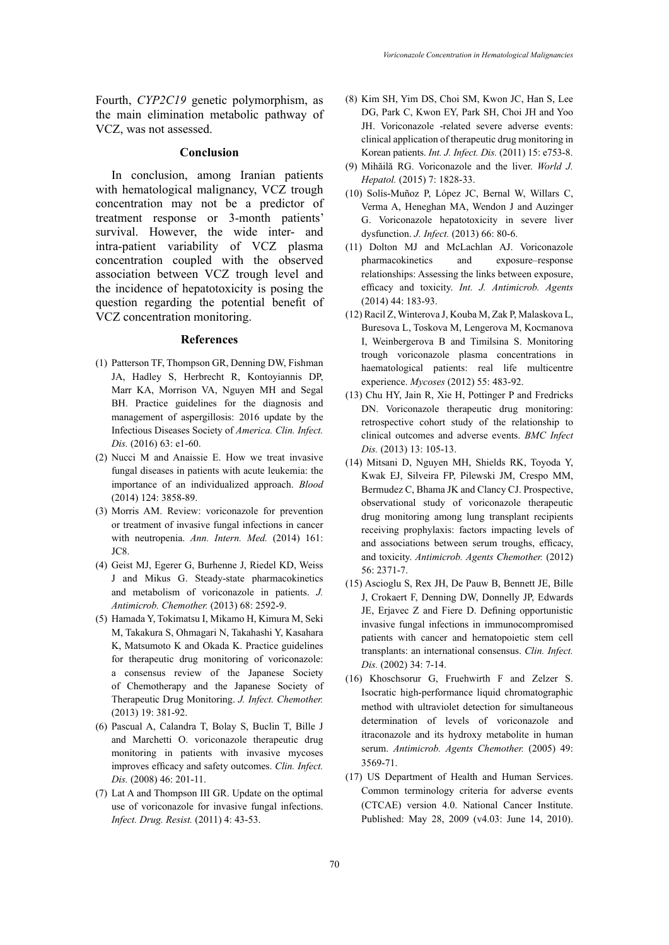Fourth, *CYP2C19* genetic polymorphism, as the main elimination metabolic pathway of VCZ, was not assessed.

#### **Conclusion**

In conclusion, among Iranian patients with hematological malignancy, VCZ trough concentration may not be a predictor of treatment response or 3-month patients' survival. However, the wide inter- and intra-patient variability of VCZ plasma concentration coupled with the observed association between VCZ trough level and the incidence of hepatotoxicity is posing the question regarding the potential benefit of VCZ concentration monitoring.

#### **References**

- (1) Patterson TF, Thompson GR, Denning DW, Fishman JA, Hadley S, Herbrecht R, Kontoyiannis DP, Marr KA, Morrison VA, Nguyen MH and Segal BH. Practice guidelines for the diagnosis and management of aspergillosis: 2016 update by the Infectious Diseases Society of *America. Clin. Infect. Dis.* (2016) 63: e1-60.
- (2) Nucci M and Anaissie E. How we treat invasive fungal diseases in patients with acute leukemia: the importance of an individualized approach. *Blood* (2014) 124: 3858-89.
- (3) Morris AM. Review: voriconazole for prevention or treatment of invasive fungal infections in cancer with neutropenia. Ann. Intern. Med. (2014) 161: JC8.
- (4) Geist MJ, Egerer G, Burhenne J, Riedel KD, Weiss J and Mikus G. Steady-state pharmacokinetics and metabolism of voriconazole in patients. *J. Antimicrob. Chemother.* (2013) 68: 2592-9.
- (5) Hamada Y, Tokimatsu I, Mikamo H, Kimura M, Seki M, Takakura S, Ohmagari N, Takahashi Y, Kasahara K, Matsumoto K and Okada K. Practice guidelines for therapeutic drug monitoring of voriconazole: a consensus review of the Japanese Society of Chemotherapy and the Japanese Society of Therapeutic Drug Monitoring. *J. Infect. Chemother.* (2013) 19: 381-92.
- (6) Pascual A, Calandra T, Bolay S, Buclin T, Bille J and Marchetti O. voriconazole therapeutic drug monitoring in patients with invasive mycoses improves efficacy and safety outcomes. *Clin. Infect. Dis.* (2008) 46: 201-11.
- (7) Lat A and Thompson III GR. Update on the optimal use of voriconazole for invasive fungal infections. *Infect. Drug. Resist.* (2011) 4: 43-53.
- (8) Kim SH, Yim DS, Choi SM, Kwon JC, Han S, Lee DG, Park C, Kwon EY, Park SH, Choi JH and Yoo JH. Voriconazole -related severe adverse events: clinical application of therapeutic drug monitoring in Korean patients. *Int. J. Infect. Dis.* (2011) 15: e753-8.
- (9) Mihăilă RG. Voriconazole and the liver. *World J. Hepatol.* (2015) 7: 1828-33.
- (10) Solís-Muñoz P, López JC, Bernal W, Willars C, Verma A, Heneghan MA, Wendon J and Auzinger G. Voriconazole hepatotoxicity in severe liver dysfunction. *J. Infect.* (2013) 66: 80-6.
- (11) Dolton MJ and McLachlan AJ. Voriconazole pharmacokinetics and exposure–response relationships: Assessing the links between exposure, efficacy and toxicity. *Int. J. Antimicrob. Agents*  (2014) 44: 183-93.
- (12) Racil Z, Winterova J, Kouba M, Zak P, Malaskova L, Buresova L, Toskova M, Lengerova M, Kocmanova I, Weinbergerova B and Timilsina S. Monitoring trough voriconazole plasma concentrations in haematological patients: real life multicentre experience. *Mycoses* (2012) 55: 483-92.
- (13) Chu HY, Jain R, Xie H, Pottinger P and Fredricks DN. Voriconazole therapeutic drug monitoring: retrospective cohort study of the relationship to clinical outcomes and adverse events. *BMC Infect Dis.* (2013) 13: 105-13.
- (14) Mitsani D, Nguyen MH, Shields RK, Toyoda Y, Kwak EJ, Silveira FP, Pilewski JM, Crespo MM, Bermudez C, Bhama JK and Clancy CJ. Prospective, observational study of voriconazole therapeutic drug monitoring among lung transplant recipients receiving prophylaxis: factors impacting levels of and associations between serum troughs, efficacy, and toxicity. *Antimicrob. Agents Chemother.* (2012) 56: 2371-7.
- (15) Ascioglu S, Rex JH, De Pauw B, Bennett JE, Bille J, Crokaert F, Denning DW, Donnelly JP, Edwards JE, Erjavec Z and Fiere D. Defining opportunistic invasive fungal infections in immunocompromised patients with cancer and hematopoietic stem cell transplants: an international consensus. *Clin. Infect. Dis.* (2002) 34: 7-14.
- (16) Khoschsorur G, Fruehwirth F and Zelzer S. Isocratic high-performance liquid chromatographic method with ultraviolet detection for simultaneous determination of levels of voriconazole and itraconazole and its hydroxy metabolite in human serum. *Antimicrob. Agents Chemother.* (2005) 49: 3569-71.
- (17) US Department of Health and Human Services. Common terminology criteria for adverse events (CTCAE) version 4.0. National Cancer Institute. Published: May 28, 2009 (v4.03: June 14, 2010).